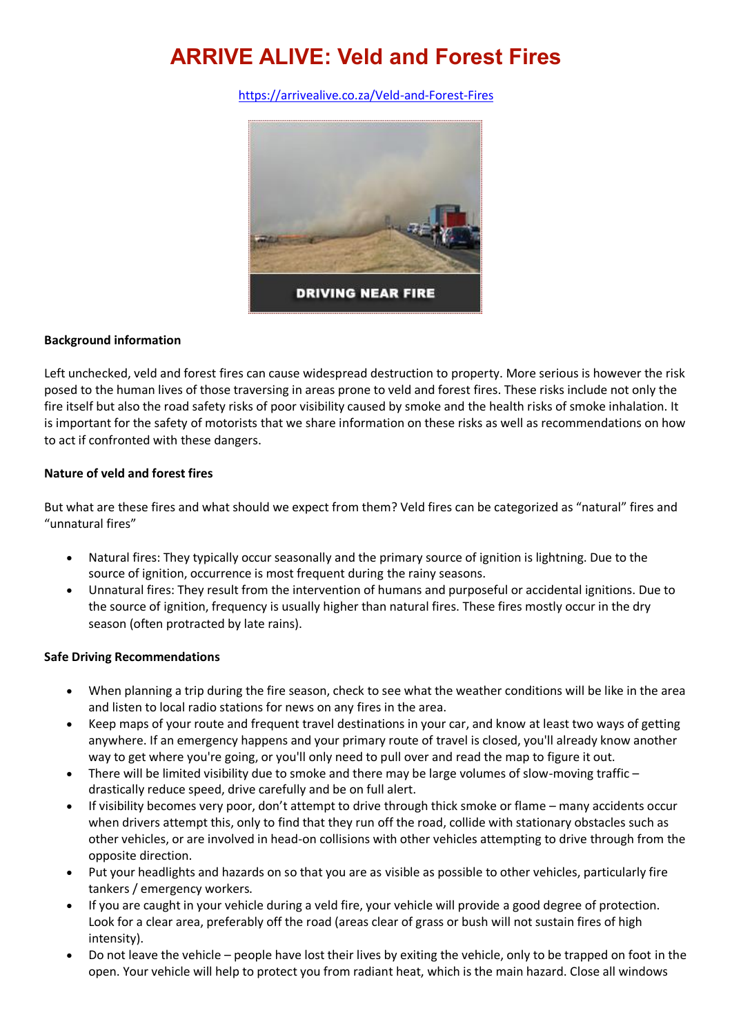# **ARRIVE ALIVE: Veld and Forest Fires**

<https://arrivealive.co.za/Veld-and-Forest-Fires>



### **Background information**

Left unchecked, veld and forest fires can cause widespread destruction to property. More serious is however the risk posed to the human lives of those traversing in areas prone to veld and forest fires. These risks include not only the fire itself but also the road safety risks of poor visibility caused by smoke and the health risks of smoke inhalation. It is important for the safety of motorists that we share information on these risks as well as recommendations on how to act if confronted with these dangers.

### **Nature of veld and forest fires**

But what are these fires and what should we expect from them? Veld fires can be categorized as "natural" fires and "unnatural fires"

- Natural fires: They typically occur seasonally and the primary source of ignition is lightning. Due to the source of ignition, occurrence is most frequent during the rainy seasons.
- Unnatural fires: They result from the intervention of humans and purposeful or accidental ignitions. Due to the source of ignition, frequency is usually higher than natural fires. These fires mostly occur in the dry season (often protracted by late rains).

#### **Safe Driving Recommendations**

- When planning a trip during the fire season, check to see what the weather conditions will be like in the area and listen to local radio stations for news on any fires in the area.
- Keep maps of your route and frequent travel destinations in your car, and know at least two ways of getting anywhere. If an emergency happens and your primary route of travel is closed, you'll already know another way to get where you're going, or you'll only need to pull over and read the map to figure it out.
- There will be limited visibility due to smoke and there may be large volumes of slow-moving traffic drastically reduce speed, drive carefully and be on full alert.
- If visibility becomes very poor, don't attempt to drive through thick smoke or flame many accidents occur when drivers attempt this, only to find that they run off the road, collide with stationary obstacles such as other vehicles, or are involved in head-on collisions with other vehicles attempting to drive through from the opposite direction.
- Put your headlights and hazards on so that you are as visible as possible to other vehicles, particularly fire tankers / emergency workers.
- If you are caught in your vehicle during a veld fire, your vehicle will provide a good degree of protection. Look for a clear area, preferably off the road (areas clear of grass or bush will not sustain fires of high intensity).
- Do not leave the vehicle people have lost their lives by exiting the vehicle, only to be trapped on foot in the open. Your vehicle will help to protect you from radiant heat, which is the main hazard. Close all windows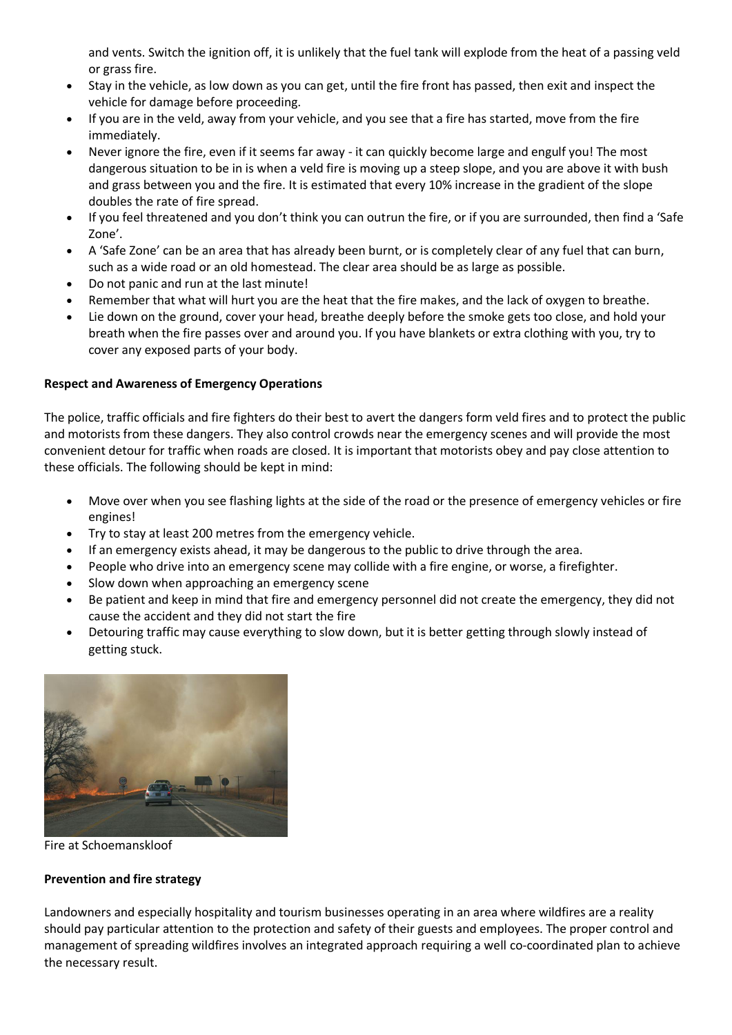and vents. Switch the ignition off, it is unlikely that the fuel tank will explode from the heat of a passing veld or grass fire.

- Stay in the vehicle, as low down as you can get, until the fire front has passed, then exit and inspect the vehicle for damage before proceeding.
- If you are in the veld, away from your vehicle, and you see that a fire has started, move from the fire immediately.
- Never ignore the fire, even if it seems far away it can quickly become large and engulf you! The most dangerous situation to be in is when a veld fire is moving up a steep slope, and you are above it with bush and grass between you and the fire. It is estimated that every 10% increase in the gradient of the slope doubles the rate of fire spread.
- If you feel threatened and you don't think you can outrun the fire, or if you are surrounded, then find a 'Safe Zone'.
- A 'Safe Zone' can be an area that has already been burnt, or is completely clear of any fuel that can burn, such as a wide road or an old homestead. The clear area should be as large as possible.
- Do not panic and run at the last minute!
- Remember that what will hurt you are the heat that the fire makes, and the lack of oxygen to breathe.
- Lie down on the ground, cover your head, breathe deeply before the smoke gets too close, and hold your breath when the fire passes over and around you. If you have blankets or extra clothing with you, try to cover any exposed parts of your body.

## **Respect and Awareness of Emergency Operations**

The police, traffic officials and fire fighters do their best to avert the dangers form veld fires and to protect the public and motorists from these dangers. They also control crowds near the emergency scenes and will provide the most convenient detour for traffic when roads are closed. It is important that motorists obey and pay close attention to these officials. The following should be kept in mind:

- Move over when you see flashing lights at the side of the road or the presence of emergency vehicles or fire engines!
- Try to stay at least 200 metres from the emergency vehicle.
- If an emergency exists ahead, it may be dangerous to the public to drive through the area.
- People who drive into an emergency scene may collide with a fire engine, or worse, a firefighter.
- Slow down when approaching an emergency scene
- Be patient and keep in mind that fire and emergency personnel did not create the emergency, they did not cause the accident and they did not start the fire
- Detouring traffic may cause everything to slow down, but it is better getting through slowly instead of getting stuck.



Fire at Schoemanskloof

## **Prevention and fire strategy**

Landowners and especially hospitality and tourism businesses operating in an area where wildfires are a reality should pay particular attention to the protection and safety of their guests and employees. The proper control and management of spreading wildfires involves an integrated approach requiring a well co-coordinated plan to achieve the necessary result.